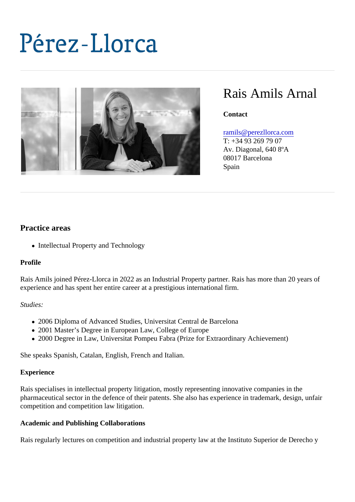# Rais Amils Arnal

**Contact** 

#### [ramils@perezllorca.co](mailto:ramils@perezllorca.com)m

T: +34 93 269 79 07 Av. Diagonal, 640 8ºA 08017 Barcelona Spain

## Practice areas

• Intellectual Property and Technology

#### Profile

Rais Amils joined Pérez-Llorca in 2022 as an Industrial Property partner. Rais has more than 20 years of experience and has spent her entire career at a prestigious international firm.

### Studies:

- 2006 Diploma of Advanced Studies, Universitat Central de Barcelona
- 2001 Master's Degree in European Law, College of Europe
- 2000 Degree in Law, Universitat Pompeu Fabra (Prize for Extraordinary Achievement)

She speaks Spanish, Catalan, English, French and Italian.

#### **Experience**

Rais specialises in intellectual property litigation, mostly representing innovative companies in the pharmaceutical sector in the defence of their patents. She also has experience in trademark, design, unfai competition and competition law litigation.

Academic and Publishing Collaborations

Rais regularly lectures on competition and industrial property law at the Instituto Superior de Derecho y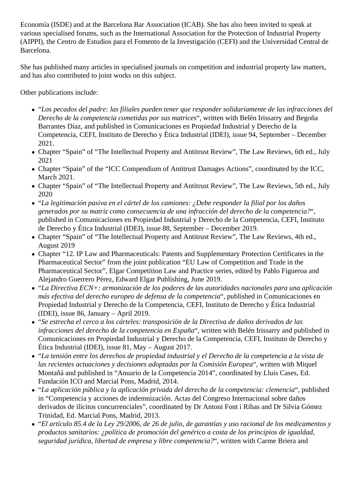Economía (ISDE) and at the Barcelona Bar Association (ICAB). She has also been invited to speak at various specialised forums, such as the International Association for the Protection of Industrial Property (AIPPI), the Centro de Estudios para el Fomento de la Investigación (CEFI) and the Universidad Central de Barcelona.

She has published many articles in specialised journals on competition and industrial property law matters, and has also contributed to joint works on this subject.

Other publications include:

- "*Los pecados del padre: las filiales pueden tener que responder solidariamente de las infracciones del Derecho de la competencia cometidas por sus matrices*", written with Belén Irissarry and Begoña Barrantes Díaz, and published in Comunicaciones en Propiedad Industrial y Derecho de la Competencia, CEFI, Instituto de Derecho y Ética Industrial (IDEI), issue 94, September – December 2021.
- Chapter "Spain" of "The Intellectual Property and Antitrust Review", The Law Reviews, 6th ed., July 2021
- Chapter "Spain" of the "ICC Compendium of Antitrust Damages Actions", coordinated by the ICC, March 2021.
- Chapter "Spain" of "The Intellectual Property and Antitrust Review", The Law Reviews, 5th ed., July 2020
- "*La legitimación pasiva en el cártel de los camiones: ¿Debe responder la filial por los daños generados por su matriz como consecuencia de una infracción del derecho de la competencia?*", published in Comunicaciones en Propiedad Industrial y Derecho de la Competencia, CEFI, Instituto de Derecho y Ética Industrial (IDEI), issue 88, September – December 2019.
- Chapter "Spain" of "The Intellectual Property and Antitrust Review", The Law Reviews, 4th ed., August 2019
- Chapter "12. IP Law and Pharmaceuticals: Patents and Supplementary Protection Certificates in the Pharmaceutical Sector" from the joint publication "EU Law of Competition and Trade in the Pharmaceutical Sector", Elgar Competition Law and Practice series, edited by Pablo Figueroa and Alejandro Guerrero Pérez, Edward Elgar Publishing, June 2019.
- "*La Directiva ECN+: armonización de los poderes de las autoridades nacionales para una aplicación más efectiva del derecho europeo de defensa de la competencia*", published in Comunicaciones en Propiedad Industrial y Derecho de la Competencia, CEFI, Instituto de Derecho y Ética Industrial (IDEI), issue 86, January – April 2019.
- "*Se estrecha el cerco a los cárteles: transposición de la Directiva de daños derivados de las infracciones del derecho de la competencia en España*", written with Belén Irissarry and published in Comunicaciones en Propiedad Industrial y Derecho de la Competencia, CEFI, Instituto de Derecho y Ética Industrial (IDEI), issue 81, May – August 2017.
- "*La tensión entre los derechos de propiedad industrial y el Derecho de la competencia a la vista de las recientes actuaciones y decisiones adoptadas por la Comisión Europea*", written with Miquel Montañá and published in "Anuario de la Competencia 2014", coordinated by Lluis Cases, Ed. Fundación ICO and Marcial Pons, Madrid, 2014.
- "*La aplicación pública y la aplicación privada del derecho de la competencia: clemencia*", published in "Competencia y acciones de indemnización. Actas del Congreso Internacional sobre daños derivados de ilícitos concurrenciales", coordinated by Dr Antoni Font i Ribas and Dr Silvia Gómez Trinidad, Ed. Marcial Pons, Madrid, 2013.
- "*El artículo 85.4 de la Ley 29/2006, de 26 de julio, de garantías y uso racional de los medicamentos y productos sanitarios: ¿política de promoción del genérico a costa de los principios de igualdad, seguridad jurídica, libertad de empresa y libre competencia?*", written with Carme Briera and